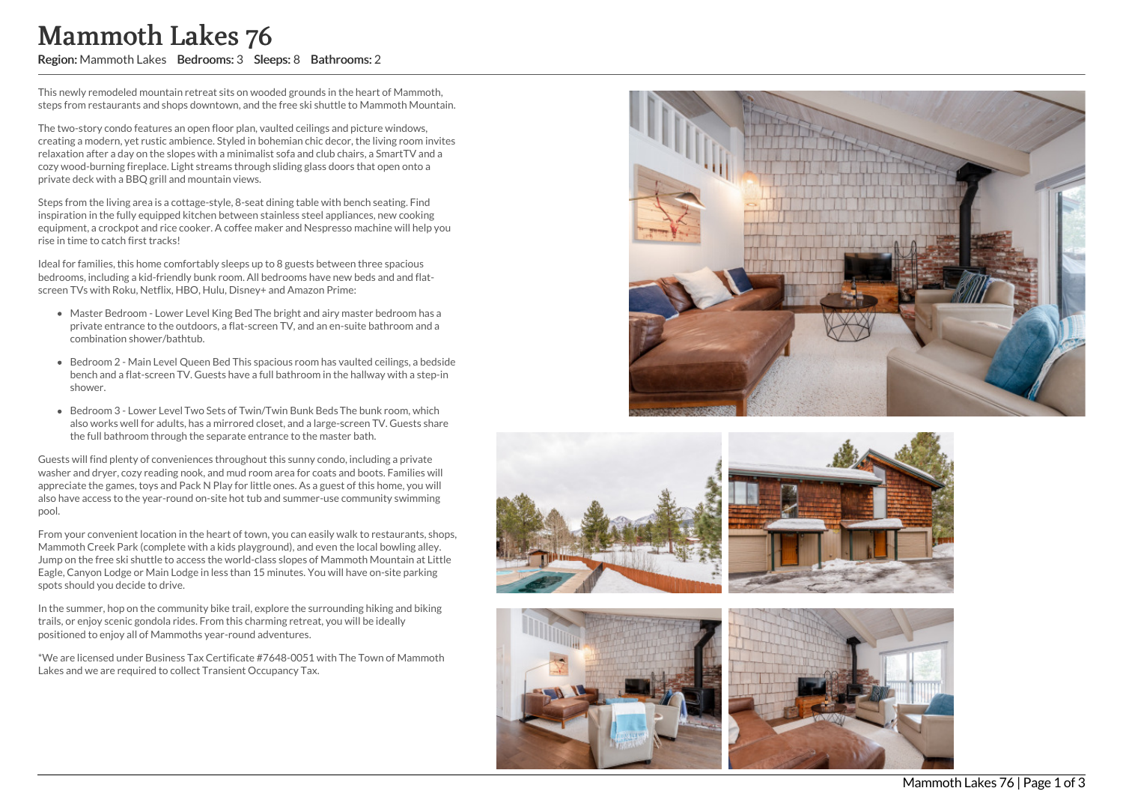This newly remodeled mountain retreat sits on wooded grounds in the heart of Mammoth, steps from restaurants and shops downtown, and the free ski shuttle to Mammoth Mountain.

The two-story condo features an open floor plan, vaulted ceilings and picture windows, creating a modern, yet rustic ambience. Styled in bohemian chic decor, the living room invites relaxation after a day on the slopes with a minimalist sofa and club chairs, a SmartTV and a cozy wood-burning fireplace. Light streams through sliding glass doors that open onto a private deck with a BBQ grill and mountain views. **Mammoth Lakes 76**<br> **Region:** Mammoth Lakes Bedrooms: 3 Sleeps: 8 Bathrooms: 2<br>
This newly remodeled mountain retreat sits on wooded grounds in the heart eters<br>
tests from restaurants and shops downtown, and the free ski s

Steps from the living area is a cottage-style, 8-seat dining table with bench seating. Find inspiration in the fully equipped kitchen between stainless steel appliances, new cooking equipment, a crockpot and rice cooker. A coffee maker and Nespresso machine will help you rise in time to catch first tracks!

Ideal for families, this home comfortably sleeps up to 8 guests between three spacious bedrooms, including a kid-friendly bunk room. All bedrooms have new beds and and flat screen TVs with Roku, Netflix, HBO, Hulu, Disney+ and Amazon Prime:

- Master Bedroom Lower Level King Bed The bright and airy master bedroom has a private entrance to the outdoors, a flat-screen TV, and an en-suite bathroom and a combination shower/bathtub.
- Bedroom 2 Main Level Queen Bed This spacious room has vaulted ceilings, a bedside bench and a flat-screen TV. Guests have a full bathroom in the hallway with a step-in shower.
- Bedroom 3 Lower Level Two Sets of Twin/Twin Bunk Beds The bunk room, which also works well for adults, has a mirrored closet, and a large-screen TV. Guests share the full bathroom through the separate entrance to the master bath.

Guests will find plenty of conveniences throughout this sunny condo, including a private washer and dryer, cozy reading nook, and mud room area for coats and boots. Families will appreciate the games, toys and Pack N Play for little ones. As a guest of this home, you will also have access to the year-round on-site hot tub and summer-use community swimming pool.

From your convenient location in the heart of town, you can easily walk to restaurants, shops, Mammoth Creek Park (complete with a kids playground), and even the local bowling alley. Jump on the free ski shuttle to access the world-class slopes of Mammoth Mountain at Little Eagle, Canyon Lodge or Main Lodge in less than 15 minutes. You will have on-site parking spots should you decide to drive.

In the summer, hop on the community bike trail, explore the surrounding hiking and biking trails, or enjoy scenic gondola rides. From this charming retreat, you will be ideally positioned to enjoy all of Mammoths year-round adventures.

\*We are licensed under Business Tax Certificate #7648-0051 with The Town of Mammoth









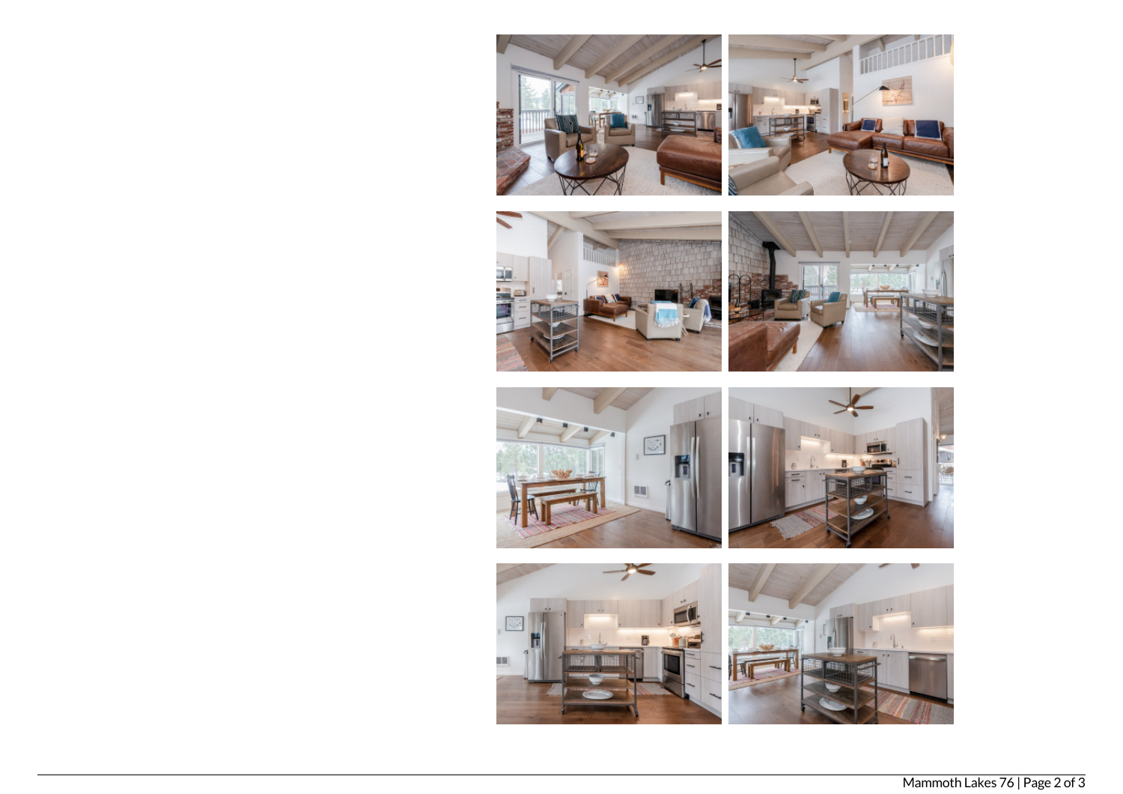







製版